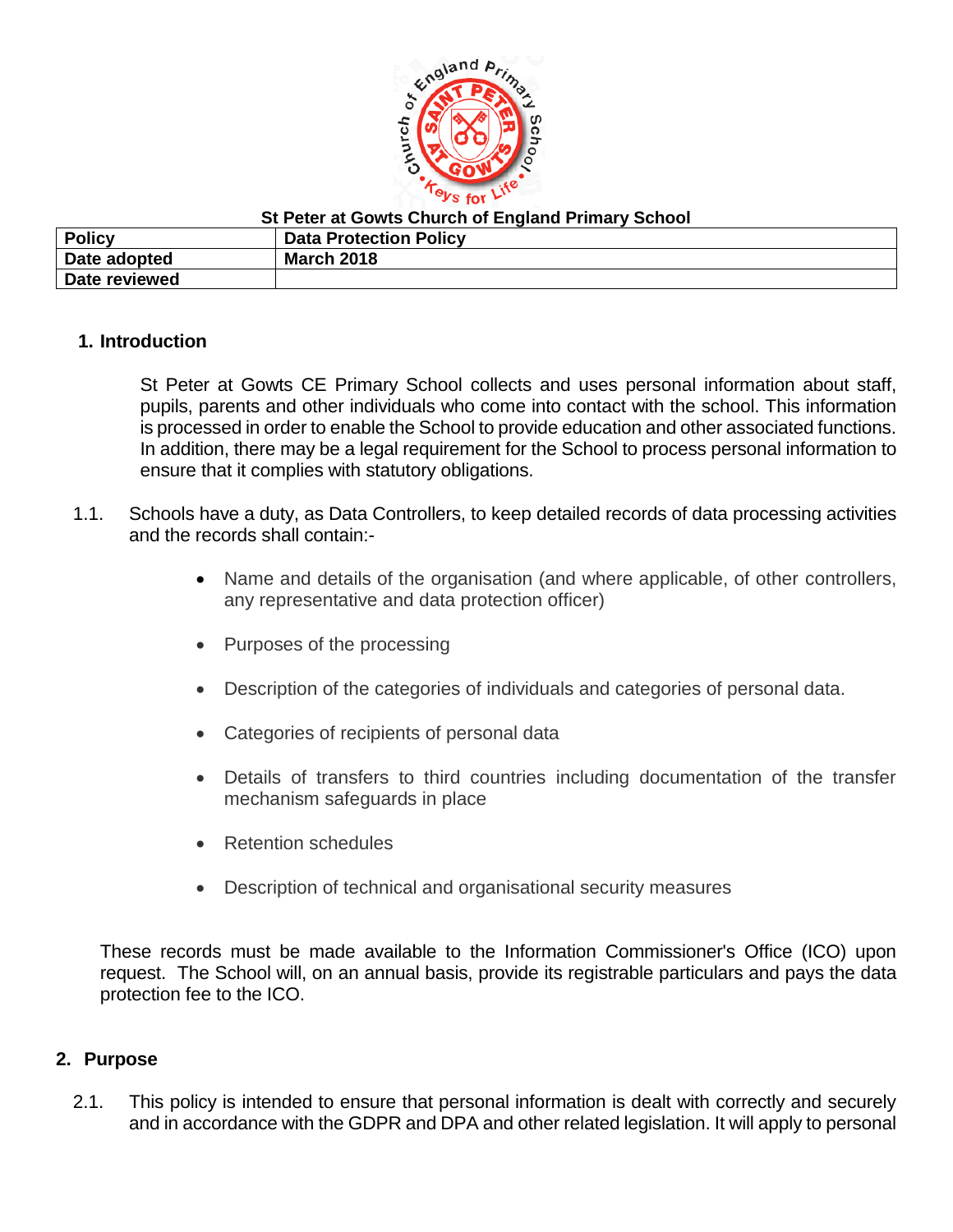

**St Peter at Gowts Church of England Primary School**

| <b>Policy</b> | <b>Data Protection Policy</b> |
|---------------|-------------------------------|
| Date adopted  | <b>March 2018</b>             |
| Date reviewed |                               |

#### **1. Introduction**

St Peter at Gowts CE Primary School collects and uses personal information about staff, pupils, parents and other individuals who come into contact with the school. This information is processed in order to enable the School to provide education and other associated functions. In addition, there may be a legal requirement for the School to process personal information to ensure that it complies with statutory obligations.

- 1.1. Schools have a duty, as Data Controllers, to keep detailed records of data processing activities and the records shall contain:-
	- Name and details of the organisation (and where applicable, of other controllers, any representative and data protection officer)
	- Purposes of the processing
	- Description of the categories of individuals and categories of personal data.
	- Categories of recipients of personal data
	- Details of transfers to third countries including documentation of the transfer mechanism safeguards in place
	- Retention schedules
	- Description of technical and organisational security measures

These records must be made available to the Information Commissioner's Office (ICO) upon request. The School will, on an annual basis, provide its registrable particulars and pays the data protection fee to the ICO.

#### **2. Purpose**

2.1. This policy is intended to ensure that personal information is dealt with correctly and securely and in accordance with the GDPR and DPA and other related legislation. It will apply to personal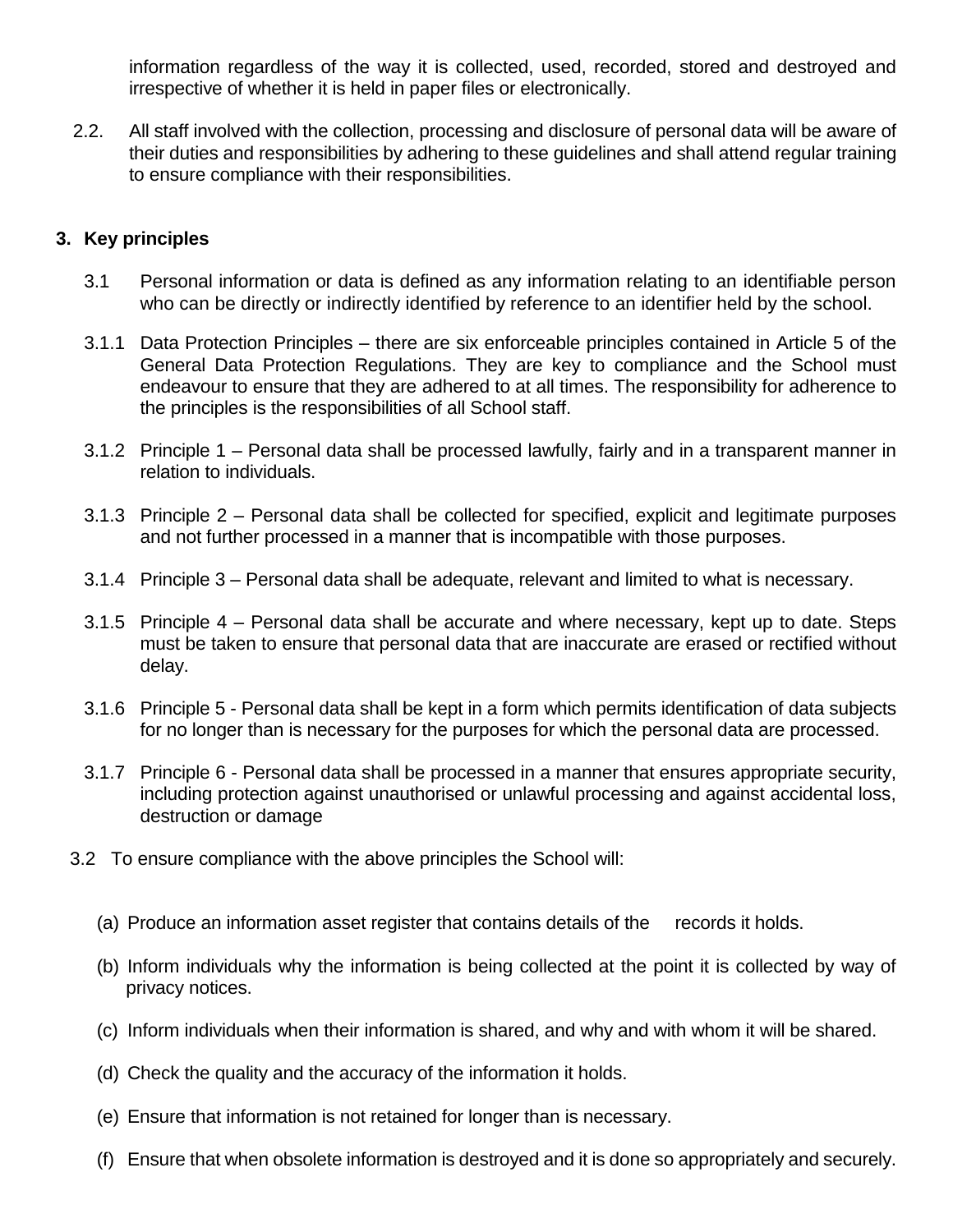information regardless of the way it is collected, used, recorded, stored and destroyed and irrespective of whether it is held in paper files or electronically.

2.2. All staff involved with the collection, processing and disclosure of personal data will be aware of their duties and responsibilities by adhering to these guidelines and shall attend regular training to ensure compliance with their responsibilities.

### **3. Key principles**

- 3.1 Personal information or data is defined as any information relating to an identifiable person who can be directly or indirectly identified by reference to an identifier held by the school.
- 3.1.1 Data Protection Principles there are six enforceable principles contained in Article 5 of the General Data Protection Regulations. They are key to compliance and the School must endeavour to ensure that they are adhered to at all times. The responsibility for adherence to the principles is the responsibilities of all School staff.
- 3.1.2 Principle 1 Personal data shall be processed lawfully, fairly and in a transparent manner in relation to individuals.
- 3.1.3 Principle 2 Personal data shall be collected for specified, explicit and legitimate purposes and not further processed in a manner that is incompatible with those purposes.
- 3.1.4 Principle 3 Personal data shall be adequate, relevant and limited to what is necessary.
- 3.1.5 Principle 4 Personal data shall be accurate and where necessary, kept up to date. Steps must be taken to ensure that personal data that are inaccurate are erased or rectified without delay.
- 3.1.6 Principle 5 Personal data shall be kept in a form which permits identification of data subjects for no longer than is necessary for the purposes for which the personal data are processed.
- 3.1.7 Principle 6 Personal data shall be processed in a manner that ensures appropriate security, including protection against unauthorised or unlawful processing and against accidental loss, destruction or damage
- 3.2 To ensure compliance with the above principles the School will:
	- (a) Produce an information asset register that contains details of the records it holds.
	- (b) Inform individuals why the information is being collected at the point it is collected by way of privacy notices.
	- (c) Inform individuals when their information is shared, and why and with whom it will be shared.
	- (d) Check the quality and the accuracy of the information it holds.
	- (e) Ensure that information is not retained for longer than is necessary.
	- (f) Ensure that when obsolete information is destroyed and it is done so appropriately and securely.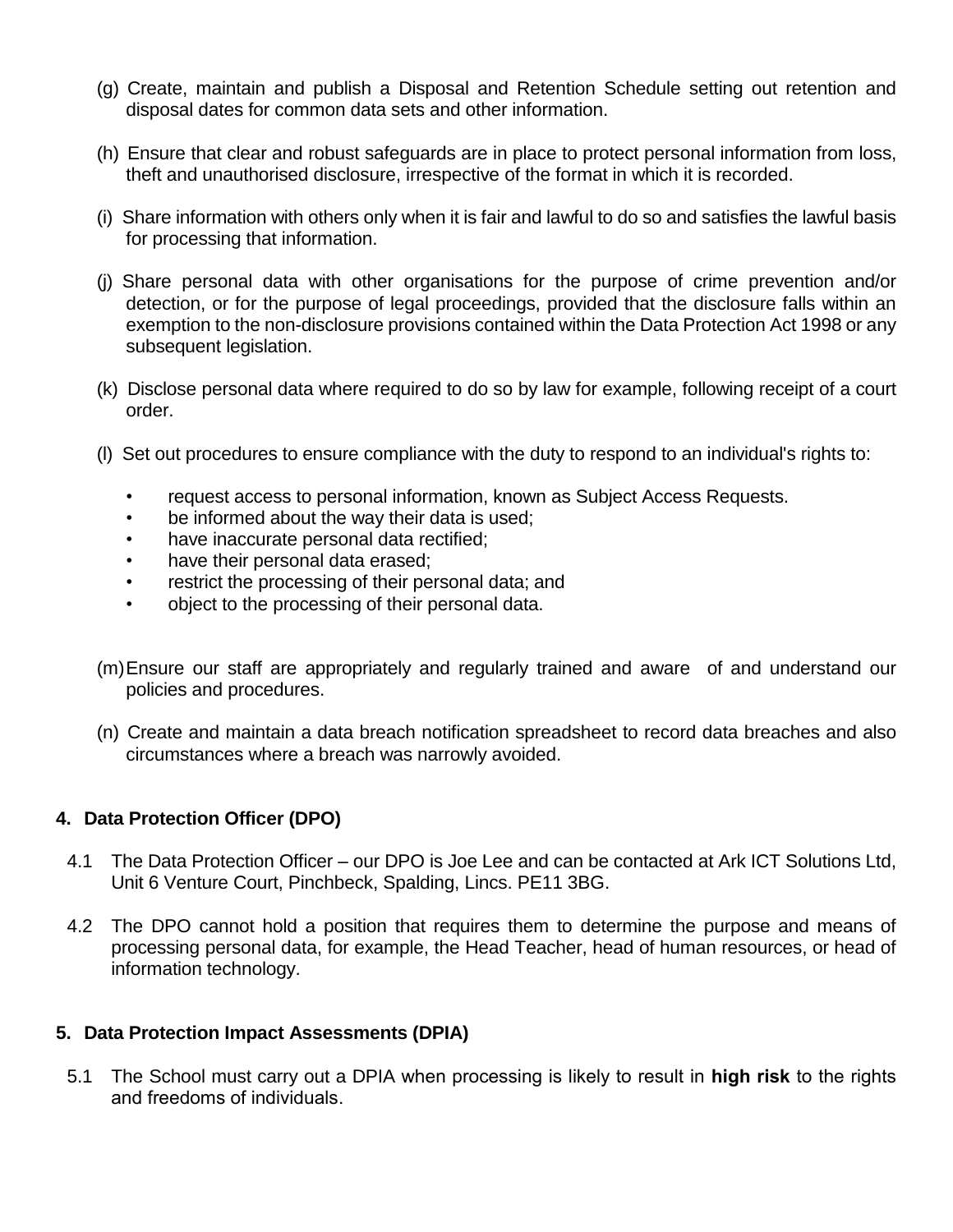- (g) Create, maintain and publish a Disposal and Retention Schedule setting out retention and disposal dates for common data sets and other information.
- (h) Ensure that clear and robust safeguards are in place to protect personal information from loss, theft and unauthorised disclosure, irrespective of the format in which it is recorded.
- (i) Share information with others only when it is fair and lawful to do so and satisfies the lawful basis for processing that information.
- (j) Share personal data with other organisations for the purpose of crime prevention and/or detection, or for the purpose of legal proceedings, provided that the disclosure falls within an exemption to the non-disclosure provisions contained within the Data Protection Act 1998 or any subsequent legislation.
- (k) Disclose personal data where required to do so by law for example, following receipt of a court order.
- (l) Set out procedures to ensure compliance with the duty to respond to an individual's rights to:
	- request access to personal information, known as Subject Access Requests.
	- be informed about the way their data is used;
	- have inaccurate personal data rectified;
	- have their personal data erased;
	- restrict the processing of their personal data; and
	- object to the processing of their personal data.
- (m)Ensure our staff are appropriately and regularly trained and aware of and understand our policies and procedures.
- (n) Create and maintain a data breach notification spreadsheet to record data breaches and also circumstances where a breach was narrowly avoided.

#### **4. Data Protection Officer (DPO)**

- 4.1 The Data Protection Officer our DPO is Joe Lee and can be contacted at Ark ICT Solutions Ltd, Unit 6 Venture Court, Pinchbeck, Spalding, Lincs. PE11 3BG.
- 4.2 The DPO cannot hold a position that requires them to determine the purpose and means of processing personal data, for example, the Head Teacher, head of human resources, or head of information technology.

#### **5. Data Protection Impact Assessments (DPIA)**

5.1 The School must carry out a DPIA when processing is likely to result in **high risk** to the rights and freedoms of individuals.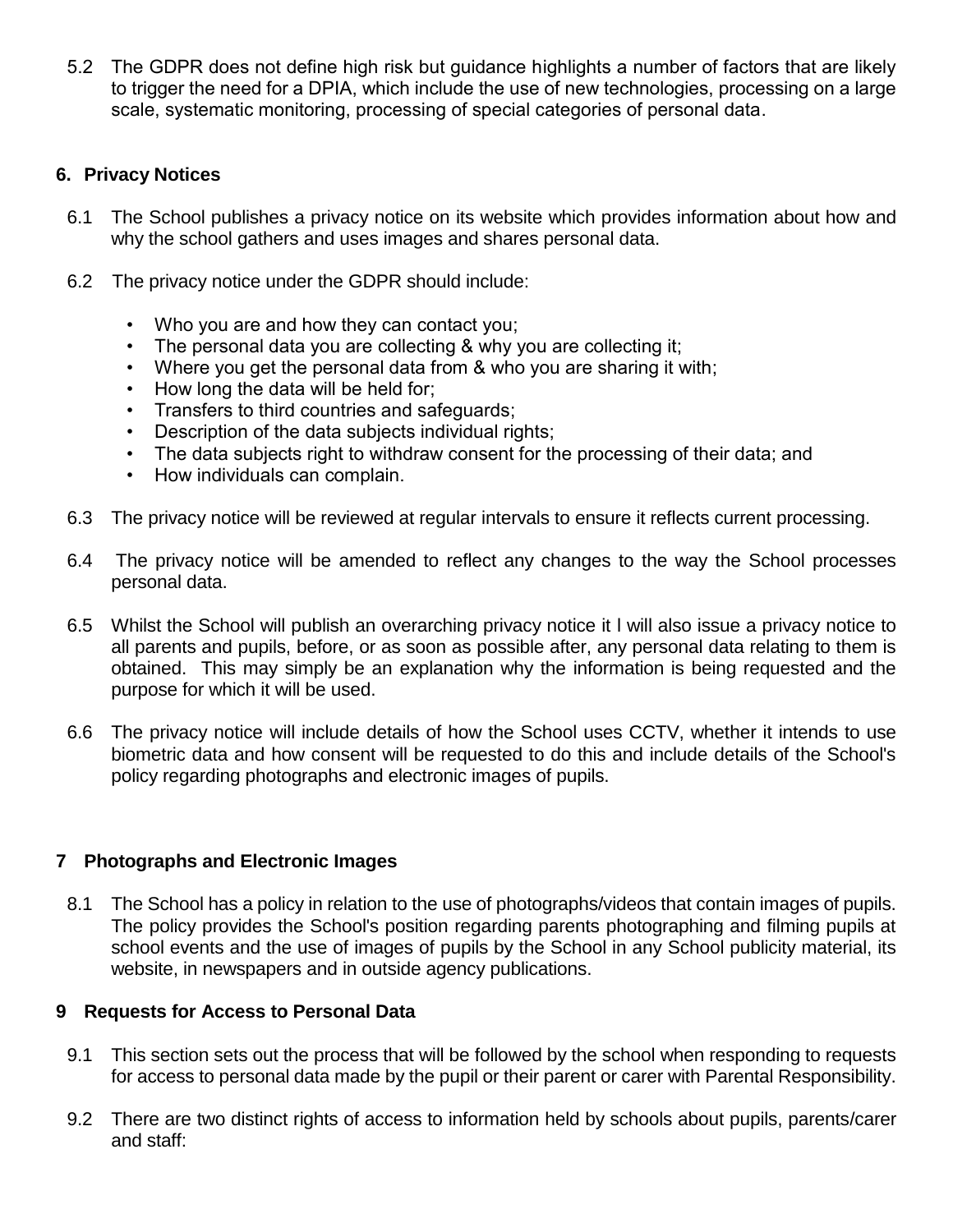5.2 The GDPR does not define high risk but guidance highlights a number of factors that are likely to trigger the need for a DPIA, which include the use of new technologies, processing on a large scale, systematic monitoring, processing of special categories of personal data.

## **6. Privacy Notices**

- 6.1 The School publishes a privacy notice on its website which provides information about how and why the school gathers and uses images and shares personal data.
- 6.2 The privacy notice under the GDPR should include:
	- Who you are and how they can contact you;
	- The personal data you are collecting & why you are collecting it;
	- Where you get the personal data from & who you are sharing it with;
	- How long the data will be held for;
	- Transfers to third countries and safeguards;
	- Description of the data subjects individual rights;
	- The data subjects right to withdraw consent for the processing of their data; and
	- How individuals can complain.
- 6.3 The privacy notice will be reviewed at regular intervals to ensure it reflects current processing.
- 6.4 The privacy notice will be amended to reflect any changes to the way the School processes personal data.
- 6.5 Whilst the School will publish an overarching privacy notice it l will also issue a privacy notice to all parents and pupils, before, or as soon as possible after, any personal data relating to them is obtained. This may simply be an explanation why the information is being requested and the purpose for which it will be used.
- 6.6 The privacy notice will include details of how the School uses CCTV, whether it intends to use biometric data and how consent will be requested to do this and include details of the School's policy regarding photographs and electronic images of pupils.

# **7 Photographs and Electronic Images**

8.1 The School has a policy in relation to the use of photographs/videos that contain images of pupils. The policy provides the School's position regarding parents photographing and filming pupils at school events and the use of images of pupils by the School in any School publicity material, its website, in newspapers and in outside agency publications.

#### **9 Requests for Access to Personal Data**

- 9.1 This section sets out the process that will be followed by the school when responding to requests for access to personal data made by the pupil or their parent or carer with Parental Responsibility.
- 9.2 There are two distinct rights of access to information held by schools about pupils, parents/carer and staff: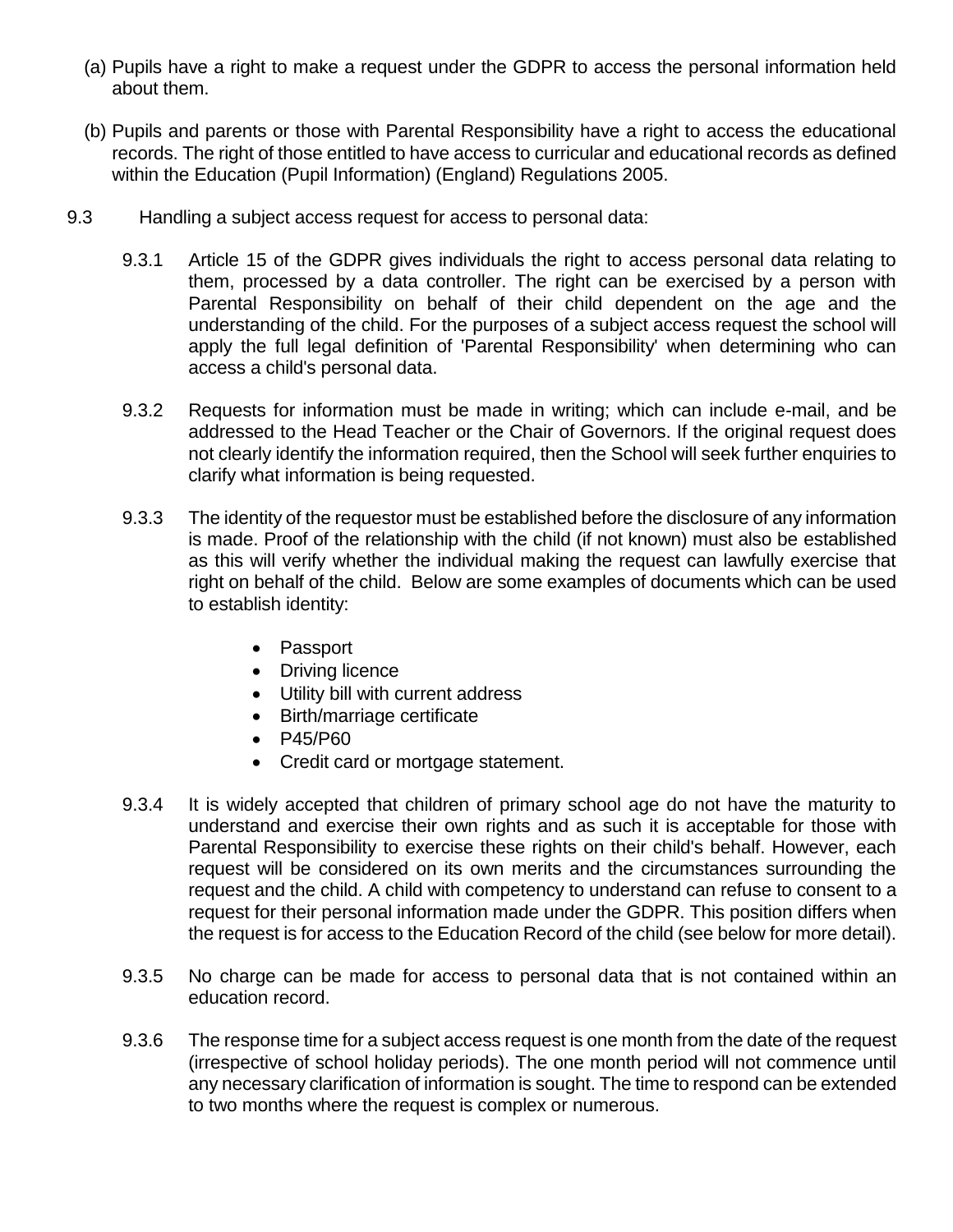- (a) Pupils have a right to make a request under the GDPR to access the personal information held about them.
- (b) Pupils and parents or those with Parental Responsibility have a right to access the educational records. The right of those entitled to have access to curricular and educational records as defined within the Education (Pupil Information) (England) Regulations 2005.
- 9.3 Handling a subject access request for access to personal data:
	- 9.3.1 Article 15 of the GDPR gives individuals the right to access personal data relating to them, processed by a data controller. The right can be exercised by a person with Parental Responsibility on behalf of their child dependent on the age and the understanding of the child. For the purposes of a subject access request the school will apply the full legal definition of 'Parental Responsibility' when determining who can access a child's personal data.
	- 9.3.2 Requests for information must be made in writing; which can include e-mail, and be addressed to the Head Teacher or the Chair of Governors. If the original request does not clearly identify the information required, then the School will seek further enquiries to clarify what information is being requested.
	- 9.3.3 The identity of the requestor must be established before the disclosure of any information is made. Proof of the relationship with the child (if not known) must also be established as this will verify whether the individual making the request can lawfully exercise that right on behalf of the child. Below are some examples of documents which can be used to establish identity:
		- Passport
		- Driving licence
		- Utility bill with current address
		- Birth/marriage certificate
		- P45/P60
		- Credit card or mortgage statement.
	- 9.3.4 It is widely accepted that children of primary school age do not have the maturity to understand and exercise their own rights and as such it is acceptable for those with Parental Responsibility to exercise these rights on their child's behalf. However, each request will be considered on its own merits and the circumstances surrounding the request and the child. A child with competency to understand can refuse to consent to a request for their personal information made under the GDPR. This position differs when the request is for access to the Education Record of the child (see below for more detail).
	- 9.3.5 No charge can be made for access to personal data that is not contained within an education record.
	- 9.3.6 The response time for a subject access request is one month from the date of the request (irrespective of school holiday periods). The one month period will not commence until any necessary clarification of information is sought. The time to respond can be extended to two months where the request is complex or numerous.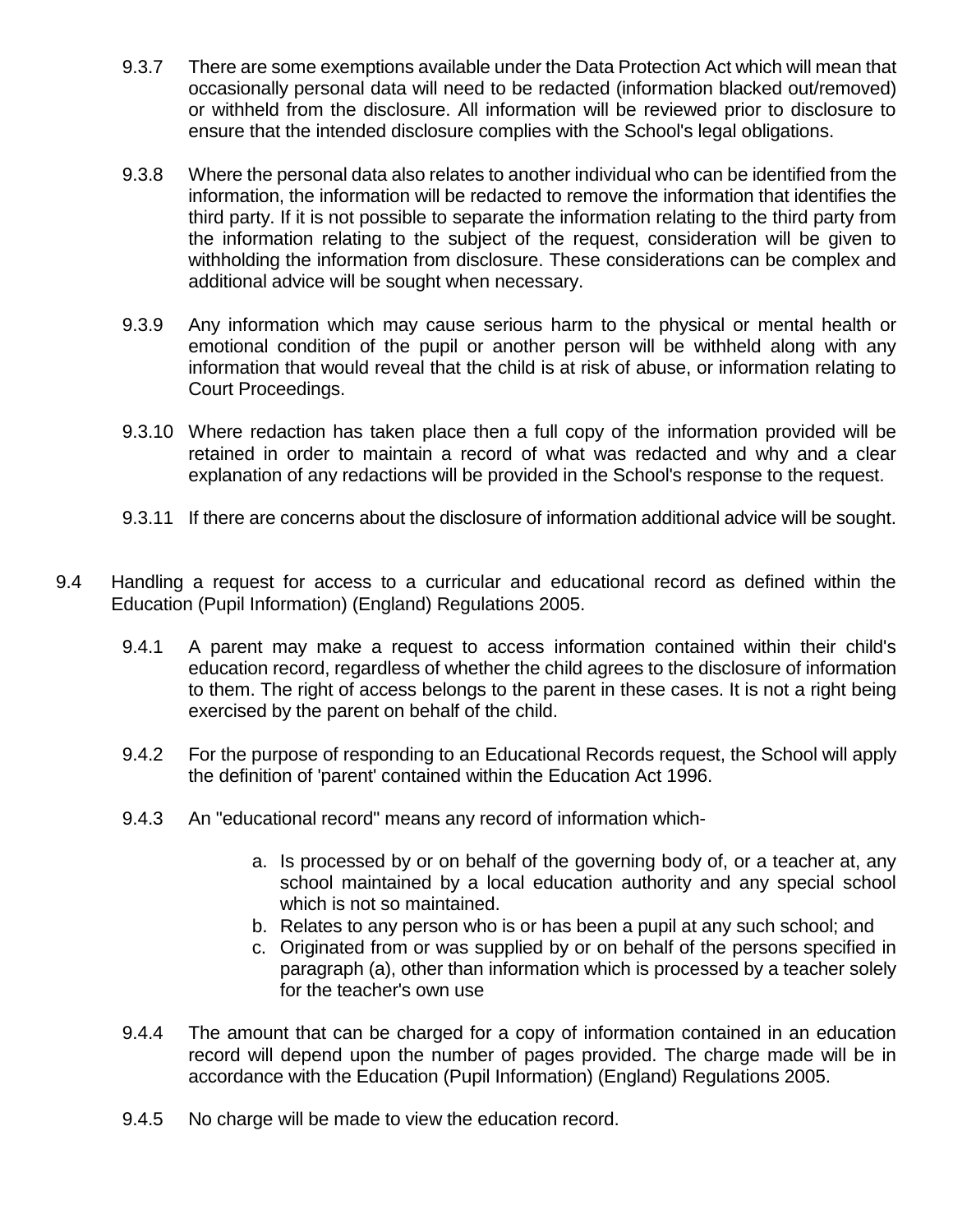- 9.3.7 There are some exemptions available under the Data Protection Act which will mean that occasionally personal data will need to be redacted (information blacked out/removed) or withheld from the disclosure. All information will be reviewed prior to disclosure to ensure that the intended disclosure complies with the School's legal obligations.
- 9.3.8 Where the personal data also relates to another individual who can be identified from the information, the information will be redacted to remove the information that identifies the third party. If it is not possible to separate the information relating to the third party from the information relating to the subject of the request, consideration will be given to withholding the information from disclosure. These considerations can be complex and additional advice will be sought when necessary.
- 9.3.9 Any information which may cause serious harm to the physical or mental health or emotional condition of the pupil or another person will be withheld along with any information that would reveal that the child is at risk of abuse, or information relating to Court Proceedings.
- 9.3.10 Where redaction has taken place then a full copy of the information provided will be retained in order to maintain a record of what was redacted and why and a clear explanation of any redactions will be provided in the School's response to the request.
- 9.3.11 If there are concerns about the disclosure of information additional advice will be sought.
- 9.4 Handling a request for access to a curricular and educational record as defined within the Education (Pupil Information) (England) Regulations 2005.
	- 9.4.1 A parent may make a request to access information contained within their child's education record, regardless of whether the child agrees to the disclosure of information to them. The right of access belongs to the parent in these cases. It is not a right being exercised by the parent on behalf of the child.
	- 9.4.2 For the purpose of responding to an Educational Records request, the School will apply the definition of 'parent' contained within the Education Act 1996.
	- 9.4.3 An "educational record" means any record of information which
		- a. Is processed by or on behalf of the governing body of, or a teacher at, any school maintained by a local education authority and any special school which is not so maintained.
		- b. Relates to any person who is or has been a pupil at any such school; and
		- c. Originated from or was supplied by or on behalf of the persons specified in paragraph (a), other than information which is processed by a teacher solely for the teacher's own use
	- 9.4.4 The amount that can be charged for a copy of information contained in an education record will depend upon the number of pages provided. The charge made will be in accordance with the Education (Pupil Information) (England) Regulations 2005.
	- 9.4.5 No charge will be made to view the education record.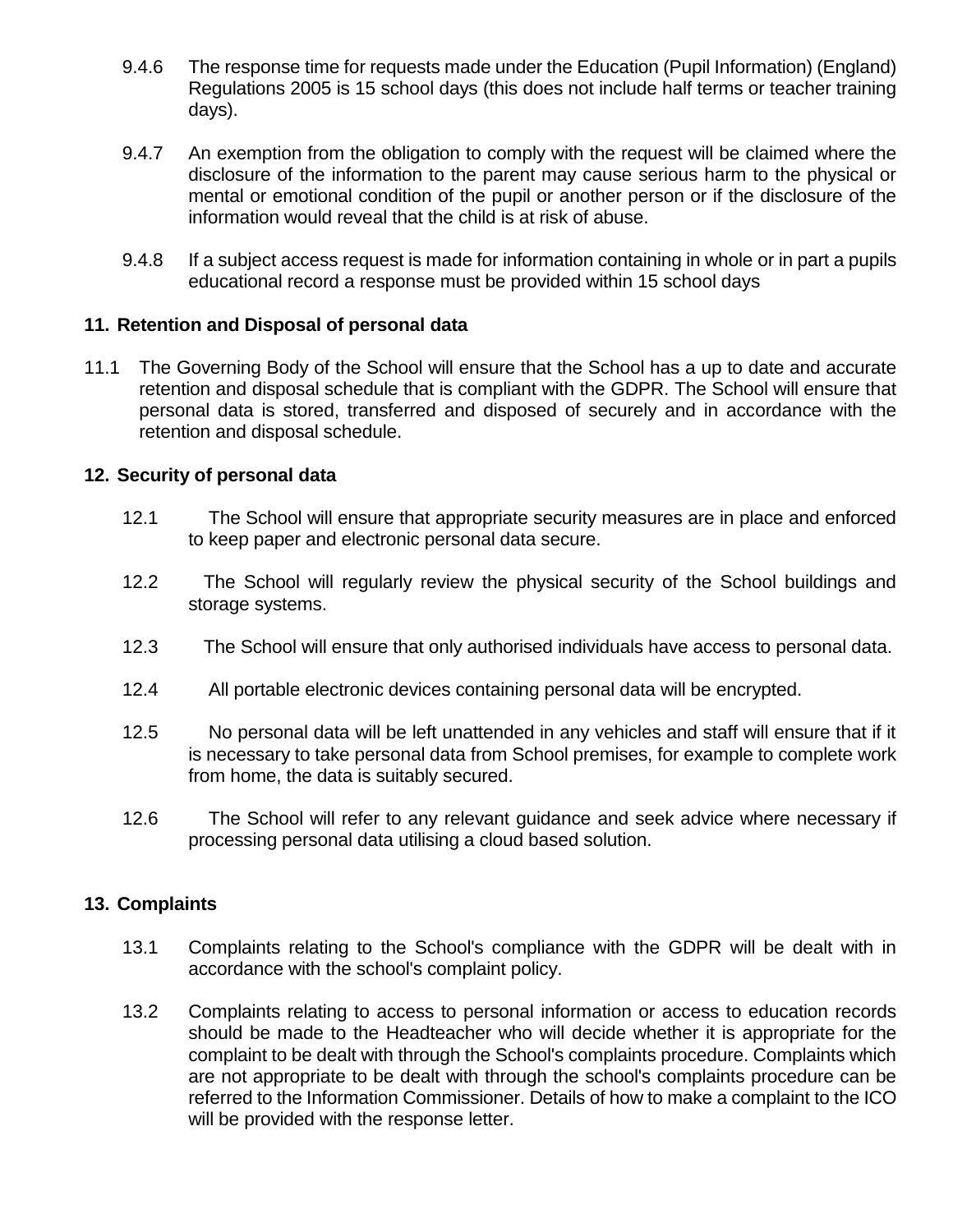- 9.4.6 The response time for requests made under the Education (Pupil Information) (England) Regulations 2005 is 15 school days (this does not include half terms or teacher training days).
- 9.4.7 An exemption from the obligation to comply with the request will be claimed where the disclosure of the information to the parent may cause serious harm to the physical or mental or emotional condition of the pupil or another person or if the disclosure of the information would reveal that the child is at risk of abuse.
- 9.4.8 If a subject access request is made for information containing in whole or in part a pupils educational record a response must be provided within 15 school days

### **11. Retention and Disposal of personal data**

11.1 The Governing Body of the School will ensure that the School has a up to date and accurate retention and disposal schedule that is compliant with the GDPR. The School will ensure that personal data is stored, transferred and disposed of securely and in accordance with the retention and disposal schedule.

#### **12. Security of personal data**

- 12.1 The School will ensure that appropriate security measures are in place and enforced to keep paper and electronic personal data secure.
- 12.2 The School will regularly review the physical security of the School buildings and storage systems.
- 12.3 The School will ensure that only authorised individuals have access to personal data.
- 12.4 All portable electronic devices containing personal data will be encrypted.
- 12.5 No personal data will be left unattended in any vehicles and staff will ensure that if it is necessary to take personal data from School premises, for example to complete work from home, the data is suitably secured.
- 12.6 The School will refer to any relevant guidance and seek advice where necessary if processing personal data utilising a cloud based solution.

#### **13. Complaints**

- 13.1 Complaints relating to the School's compliance with the GDPR will be dealt with in accordance with the school's complaint policy.
- 13.2 Complaints relating to access to personal information or access to education records should be made to the Headteacher who will decide whether it is appropriate for the complaint to be dealt with through the School's complaints procedure. Complaints which are not appropriate to be dealt with through the school's complaints procedure can be referred to the Information Commissioner. Details of how to make a complaint to the ICO will be provided with the response letter.